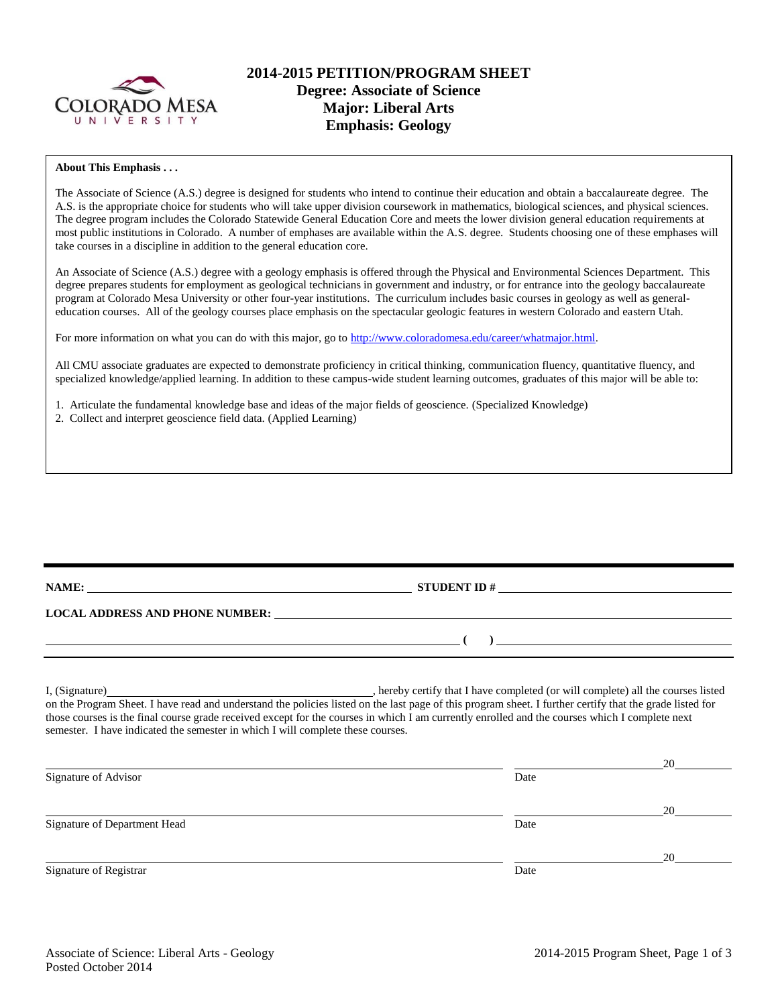

# **2014-2015 PETITION/PROGRAM SHEET Degree: Associate of Science Major: Liberal Arts Emphasis: Geology**

#### **About This Emphasis . . .**

The Associate of Science (A.S.) degree is designed for students who intend to continue their education and obtain a baccalaureate degree. The A.S. is the appropriate choice for students who will take upper division coursework in mathematics, biological sciences, and physical sciences. The degree program includes the Colorado Statewide General Education Core and meets the lower division general education requirements at most public institutions in Colorado. A number of emphases are available within the A.S. degree. Students choosing one of these emphases will take courses in a discipline in addition to the general education core.

An Associate of Science (A.S.) degree with a geology emphasis is offered through the Physical and Environmental Sciences Department. This degree prepares students for employment as geological technicians in government and industry, or for entrance into the geology baccalaureate program at Colorado Mesa University or other four-year institutions. The curriculum includes basic courses in geology as well as generaleducation courses. All of the geology courses place emphasis on the spectacular geologic features in western Colorado and eastern Utah.

For more information on what you can do with this major, go to [http://www.coloradomesa.edu/career/whatmajor.html.](http://www.coloradomesa.edu/career/whatmajor.html)

All CMU associate graduates are expected to demonstrate proficiency in critical thinking, communication fluency, quantitative fluency, and specialized knowledge/applied learning. In addition to these campus-wide student learning outcomes, graduates of this major will be able to:

1. Articulate the fundamental knowledge base and ideas of the major fields of geoscience. (Specialized Knowledge)

2. Collect and interpret geoscience field data. (Applied Learning)

|                                                                                 | LOCAL ADDRESS AND PHONE NUMBER: University of the contract of the contract of the contract of the contract of the contract of the contract of the contract of the contract of the contract of the contract of the contract of |    |
|---------------------------------------------------------------------------------|-------------------------------------------------------------------------------------------------------------------------------------------------------------------------------------------------------------------------------|----|
|                                                                                 | <u>поставка (по поставка (по поставка (по поставка (по поставка (по поставка (по поставка (по поставка (по поставка (по поставка (по поставка (по поставка (по поставка (по поставка (по по</u>                               |    |
|                                                                                 |                                                                                                                                                                                                                               |    |
| semester. I have indicated the semester in which I will complete these courses. | those courses is the final course grade received except for the courses in which I am currently enrolled and the courses which I complete next                                                                                |    |
| Signature of Advisor                                                            | Date                                                                                                                                                                                                                          | 20 |
|                                                                                 |                                                                                                                                                                                                                               | 20 |
| Signature of Department Head                                                    | Date                                                                                                                                                                                                                          |    |
|                                                                                 |                                                                                                                                                                                                                               | 20 |
| Signature of Registrar                                                          | Date                                                                                                                                                                                                                          |    |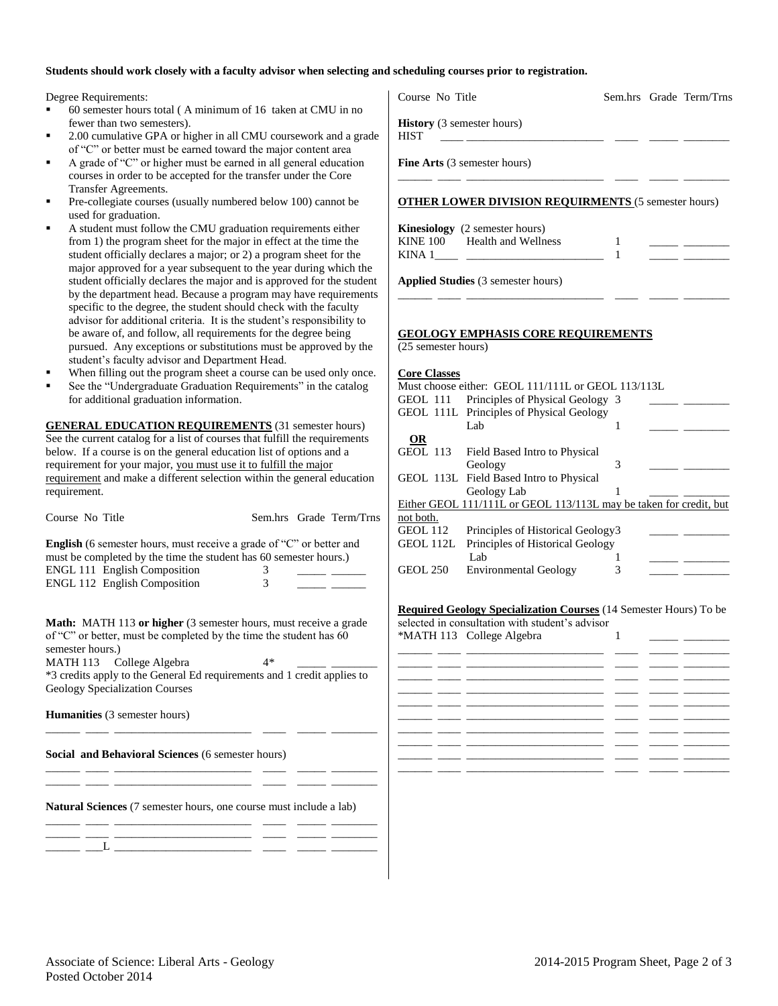### **Students should work closely with a faculty advisor when selecting and scheduling courses prior to registration.**

Degree Requirements:

- 60 semester hours total ( A minimum of 16 taken at CMU in no fewer than two semesters).
- 2.00 cumulative GPA or higher in all CMU coursework and a grade of "C" or better must be earned toward the major content area
- A grade of "C" or higher must be earned in all general education courses in order to be accepted for the transfer under the Core Transfer Agreements.
- Pre-collegiate courses (usually numbered below 100) cannot be used for graduation.
- A student must follow the CMU graduation requirements either from 1) the program sheet for the major in effect at the time the student officially declares a major; or 2) a program sheet for the major approved for a year subsequent to the year during which the student officially declares the major and is approved for the student by the department head. Because a program may have requireme specific to the degree, the student should check with the faculty advisor for additional criteria. It is the student's responsibility to be aware of, and follow, all requirements for the degree being pursued. Any exceptions or substitutions must be approved by the student's faculty advisor and Department Head.
- When filling out the program sheet a course can be used only one
- See the "Undergraduate Graduation Requirements" in the catalog for additional graduation information.

**GENERAL EDUCATION REQUIREMENTS** (31 semester hours) See the current catalog for a list of courses that fulfill the requirement below. If a course is on the general education list of options and a requirement for your major, you must use it to fulfill the major requirement and make a different selection within the general education requirement.

| Course No Title                                                                                                                                  |   | Sem.hrs Grade Term/Trns |
|--------------------------------------------------------------------------------------------------------------------------------------------------|---|-------------------------|
| <b>English</b> (6 semester hours, must receive a grade of "C" or better and<br>must be completed by the time the student has 60 semester hours.) |   |                         |
| ENGL 111 English Composition<br>ENGL 112 English Composition                                                                                     | 3 |                         |
|                                                                                                                                                  |   |                         |

**Math:** MATH 113 **or higher** (3 semester hours, must receive a grade of "C" or better, must be completed by the time the student has 60 semester hours.) MATH 113 College Algebra 4\* \*3 credits apply to the General Ed requirements and 1 credit applies to

Geology Specialization Courses

\_\_\_\_\_\_ \_\_\_\_ \_\_\_\_\_\_\_\_\_\_\_\_\_\_\_\_\_\_\_\_\_\_\_\_ \_\_\_\_ \_\_\_\_\_ \_\_\_\_\_\_\_\_

\_\_\_\_\_\_ \_\_\_\_ \_\_\_\_\_\_\_\_\_\_\_\_\_\_\_\_\_\_\_\_\_\_\_\_ \_\_\_\_ \_\_\_\_\_ \_\_\_\_\_\_\_\_ \_\_\_\_\_\_ \_\_\_\_ \_\_\_\_\_\_\_\_\_\_\_\_\_\_\_\_\_\_\_\_\_\_\_\_ \_\_\_\_ \_\_\_\_\_ \_\_\_\_\_\_\_\_

**Humanities** (3 semester hours)

**Social and Behavioral Sciences** (6 semester hours)

**Natural Sciences** (7 semester hours, one course must include a lab) \_\_\_\_\_\_ \_\_\_\_ \_\_\_\_\_\_\_\_\_\_\_\_\_\_\_\_\_\_\_\_\_\_\_\_ \_\_\_\_ \_\_\_\_\_ \_\_\_\_\_\_\_\_

\_\_\_\_\_\_ \_\_\_\_ \_\_\_\_\_\_\_\_\_\_\_\_\_\_\_\_\_\_\_\_\_\_\_\_ \_\_\_\_ \_\_\_\_\_ \_\_\_\_\_\_\_\_ \_\_\_\_\_\_ \_\_\_L \_\_\_\_\_\_\_\_\_\_\_\_\_\_\_\_\_\_\_\_\_\_\_\_ \_\_\_\_ \_\_\_\_\_ \_\_\_\_\_\_\_\_

| Course No Title                            |                                                                                                                                                                                                                                                                    | Sem.hrs Grade Term/Trns |  |
|--------------------------------------------|--------------------------------------------------------------------------------------------------------------------------------------------------------------------------------------------------------------------------------------------------------------------|-------------------------|--|
| <b>HIST</b>                                | History (3 semester hours)<br><u>and the community of the community of the community of the community of the community of the community of the community of the community of the community of the community of the community of the community of the community</u> |                         |  |
|                                            | Fine Arts (3 semester hours)                                                                                                                                                                                                                                       |                         |  |
|                                            | <b>OTHER LOWER DIVISION REQUIRMENTS (5 semester hours)</b>                                                                                                                                                                                                         |                         |  |
|                                            | <b>Kinesiology</b> (2 semester hours)                                                                                                                                                                                                                              |                         |  |
|                                            | KINE 100 Health and Wellness                                                                                                                                                                                                                                       | 1<br>1                  |  |
|                                            | Applied Studies (3 semester hours)                                                                                                                                                                                                                                 |                         |  |
| (25 semester hours)<br><b>Core Classes</b> | Must choose either: GEOL 111/111L or GEOL 113/113L                                                                                                                                                                                                                 |                         |  |
| GEOL 111                                   | Principles of Physical Geology 3<br>GEOL 111L Principles of Physical Geology                                                                                                                                                                                       |                         |  |
|                                            | Lab                                                                                                                                                                                                                                                                | 1                       |  |
| OR.<br>GEOL 113                            | Field Based Intro to Physical<br>Geology                                                                                                                                                                                                                           | 3                       |  |
|                                            | GEOL 113L Field Based Intro to Physical<br>Geology Lab                                                                                                                                                                                                             | 1                       |  |
|                                            | Either GEOL 111/111L or GEOL 113/113L may be taken for credit, but                                                                                                                                                                                                 |                         |  |
| not both.<br><b>GEOL 112</b>               | Principles of Historical Geology3                                                                                                                                                                                                                                  |                         |  |
| GEOL 112L                                  | Principles of Historical Geology<br>Lab                                                                                                                                                                                                                            | 1                       |  |
| GEOL 250                                   | <b>Environmental Geology</b>                                                                                                                                                                                                                                       | 3                       |  |
|                                            |                                                                                                                                                                                                                                                                    |                         |  |
|                                            | <b>Required Geology Specialization Courses</b> (14 Semester Hours) To be<br>selected in consultation with student's advisor                                                                                                                                        |                         |  |

|  | -------- --- - -----g- ---g-----                                                                                     |  |  |
|--|----------------------------------------------------------------------------------------------------------------------|--|--|
|  |                                                                                                                      |  |  |
|  | للمستحققات للمستنقل المستنقل المستحقق والمستحقق والمستنقل المستنقل المستنقلة                                         |  |  |
|  | <u> 2002 - 2002 - 2003 - 2003 - 2003 - 2003 - 2004 - 2005 - 2006 - 2007 - 2008 - 2008 - 2008 - 2008 - 2008 - 200</u> |  |  |
|  | للمستحققات للمستقل المستقل المستحقق والمستحقق والمستقلق المستحقق المستحقق                                            |  |  |
|  |                                                                                                                      |  |  |
|  | <u> 2002 - 2002 - 2003 - 2003 - 2003 - 2003 - 2004 - 2005 - 2006 - 2007 - 2008 - 2008 - 2008 - 2008 - 2008 - 200</u> |  |  |
|  |                                                                                                                      |  |  |
|  | <u> 2002 - 2002 - 2003 - 2003 - 2003 - 2003 - 2004 - 2005 - 2006 - 2007 - 2008 - 2008 - 2008 - 2008 - 2008 - 200</u> |  |  |
|  | فسيستحصص فسنقص المستعدد المستحصل والمستحصر والمستحصر المستحير المستحيظ                                               |  |  |
|  | فستستنصب المستنقين المستنقل المستنقل المستنقل المستنقص المستنقل فستستنج                                              |  |  |